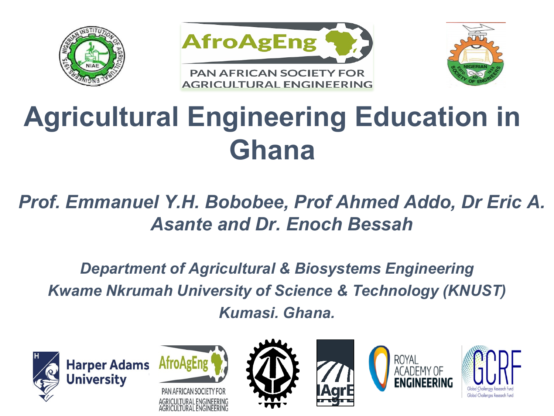





### **Agricultural Engineering Education in Ghana**

#### *Prof. Emmanuel Y.H. Bobobee, Prof Ahmed Addo, Dr Eric A. Asante and Dr. Enoch Bessah*

*Department of Agricultural & Biosystems Engineering Kwame Nkrumah University of Science & Technology (KNUST) Kumasi. Ghana.*











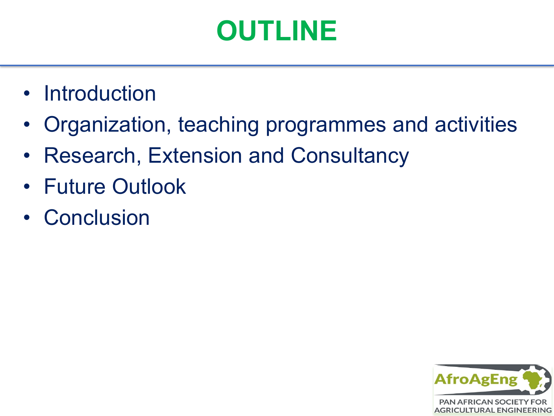### **OUTLINE**

- Introduction
- Organization, teaching programmes and activities
- Research, Extension and Consultancy
- Future Outlook
- Conclusion

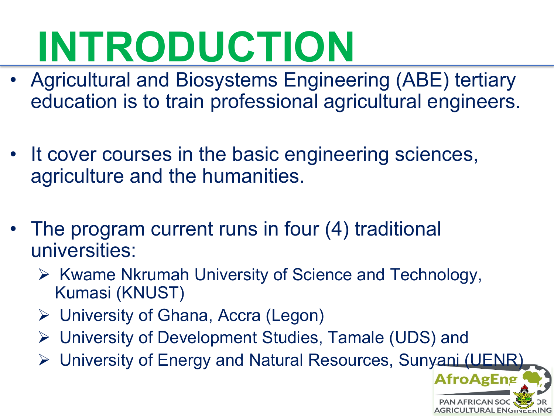# **INTRODUCTION**

- Agricultural and Biosystems Engineering (ABE) tertiary education is to train professional agricultural engineers.
- It cover courses in the basic engineering sciences, agriculture and the humanities.
- The program current runs in four (4) traditional universities:
	- $\triangleright$  Kwame Nkrumah University of Science and Technology, Kumasi (KNUST)
	- University of Ghana, Accra (Legon)
	- University of Development Studies, Tamale (UDS) and
	- ▶ University of Energy and Natural Resources, Sunyani (UENR)

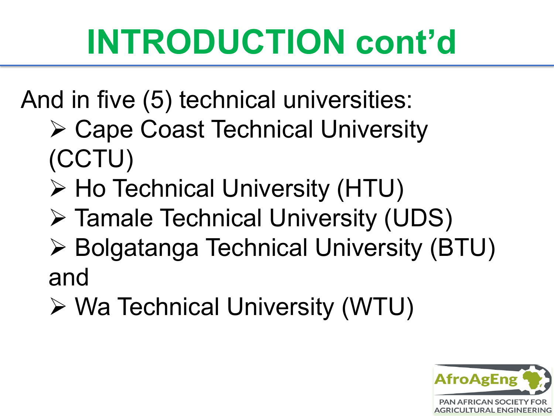## **INTRODUCTION cont'd**

- And in five (5) technical universities:
	- Cape Coast Technical University (CCTU)
	- **≻ Ho Technical University (HTU)**
	- Tamale Technical University (UDS)
	- Bolgatanga Technical University (BTU) and
	- Wa Technical University (WTU)

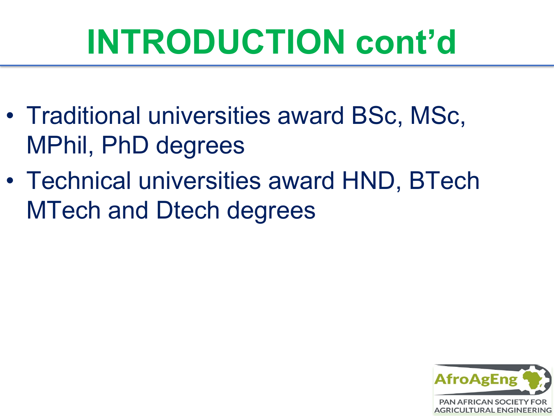### **INTRODUCTION cont'd**

- Traditional universities award BSc, MSc, MPhil, PhD degrees
- Technical universities award HND, BTech MTech and Dtech degrees

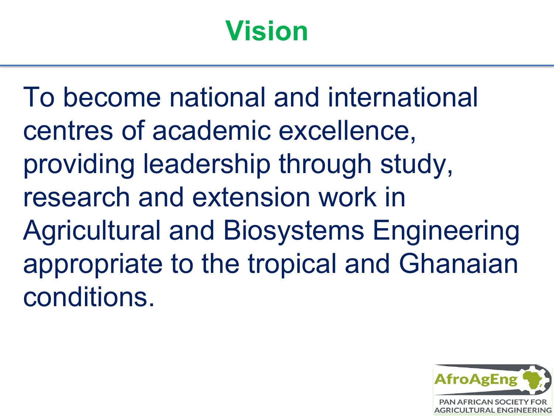### **Vision**

To become national and international centres of academic excellence, providing leadership through study, research and extension work in Agricultural and Biosystems Engineering appropriate to the tropical and Ghanaian conditions.

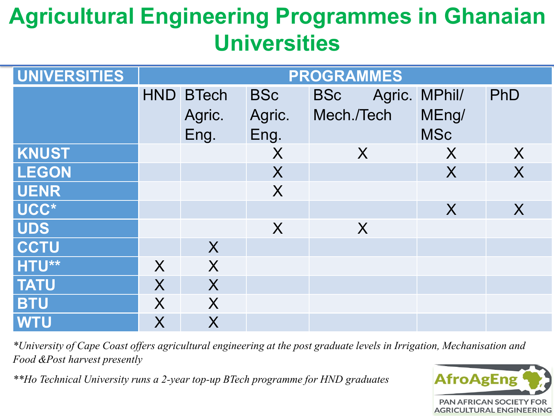#### **Agricultural Engineering Programmes in Ghanaian Universities**

| UNIVERSITIES | <b>PROGRAMMES</b> |                  |                  |            |  |               |         |
|--------------|-------------------|------------------|------------------|------------|--|---------------|---------|
|              |                   | <b>HND BTech</b> | <b>BSc</b>       | <b>BSc</b> |  | Agric. MPhil/ | PhD     |
|              |                   | Agric.           | Agric.           | Mech./Tech |  | MEng/         |         |
|              |                   | Eng.             | Eng.             |            |  | <b>MSc</b>    |         |
| <b>KNUST</b> |                   |                  | X                | $\sf X$    |  | X             | X       |
| <b>LEGON</b> |                   |                  | X                |            |  | X             | X       |
| <b>UENR</b>  |                   |                  | X                |            |  |               |         |
| UCC*         |                   |                  |                  |            |  | $\sf X$       | $\sf X$ |
| <b>UDS</b>   |                   |                  | $\boldsymbol{X}$ | $\sf X$    |  |               |         |
| <b>CCTU</b>  |                   | X                |                  |            |  |               |         |
| HTU**        | X                 | X                |                  |            |  |               |         |
| <b>TATU</b>  | $\sf X$           | X                |                  |            |  |               |         |
| <b>BTU</b>   | $\sf X$           | X                |                  |            |  |               |         |
| <b>WTU</b>   | $\sf X$           | X                |                  |            |  |               |         |

*\*University of Cape Coast offers agricultural engineering at the post graduate levels in Irrigation, Mechanisation and Food &Post harvest presently* 

*\*\*Ho Technical University runs a 2-year top-up BTech programme for HND graduates*

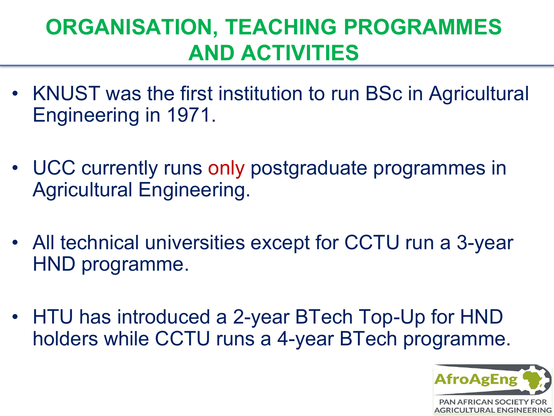#### **ORGANISATION, TEACHING PROGRAMMES AND ACTIVITIES**

- KNUST was the first institution to run BSc in Agricultural Engineering in 1971.
- UCC currently runs only postgraduate programmes in Agricultural Engineering.
- All technical universities except for CCTU run a 3-year HND programme.
- HTU has introduced a 2-year BTech Top-Up for HND holders while CCTU runs a 4-year BTech programme.

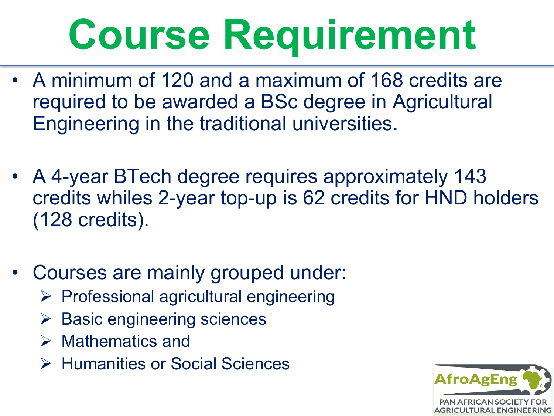# **Course Requirement**

- A minimum of 120 and a maximum of 168 credits are required to be awarded a BSc degree in Agricultural Engineering in the traditional universities.
- A 4-year BTech degree requires approximately 143 credits whiles 2-year top-up is 62 credits for HND holders (128 credits).
- Courses are mainly grouped under:
	- $\triangleright$  Professional agricultural engineering
	- $\triangleright$  Basic engineering sciences
	- $\triangleright$  Mathematics and
	- **▶ Humanities or Social Sciences**

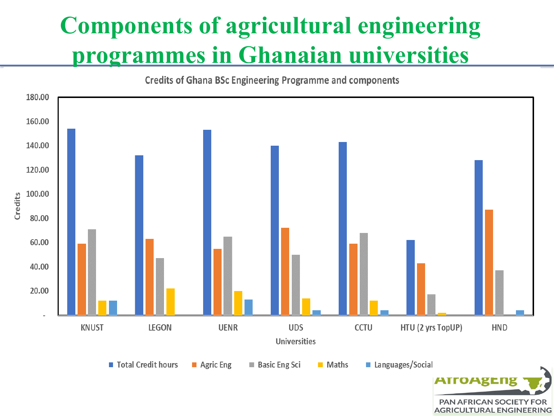#### **Components of agricultural engineering programmes in Ghanaian universities**

180.00 160.00 140.00 120.00 100.00 Credits 80.00 60.00 40.00 20.00 **KNUST LEGON UENR UDS CCTU** HTU (2 yrs TopUP) **HND Universities** ■ Total Credit hours Languages/Social **Agric Eng Basic Eng Sci** ■ Maths

> **PAN AFRICAN SOCIETY FOR AGRICULTURAL ENGINEERING**

**Credits of Ghana BSc Engineering Programme and components**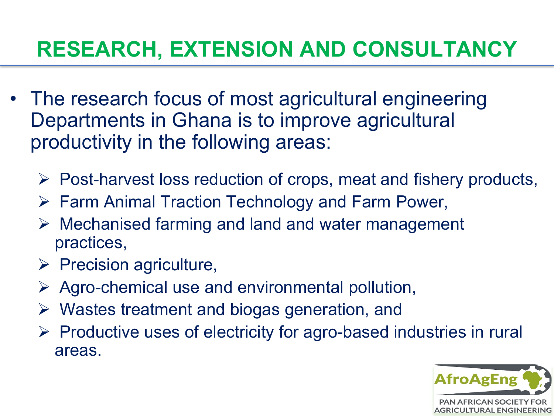#### **RESEARCH, EXTENSION AND CONSULTANCY**

- The research focus of most agricultural engineering Departments in Ghana is to improve agricultural productivity in the following areas:
	- $\triangleright$  Post-harvest loss reduction of crops, meat and fishery products,
	- Farm Animal Traction Technology and Farm Power,
	- $\triangleright$  Mechanised farming and land and water management practices,
	- $\triangleright$  Precision agriculture,
	- $\triangleright$  Agro-chemical use and environmental pollution,
	- $\triangleright$  Wastes treatment and biogas generation, and
	- $\triangleright$  Productive uses of electricity for agro-based industries in rural areas.

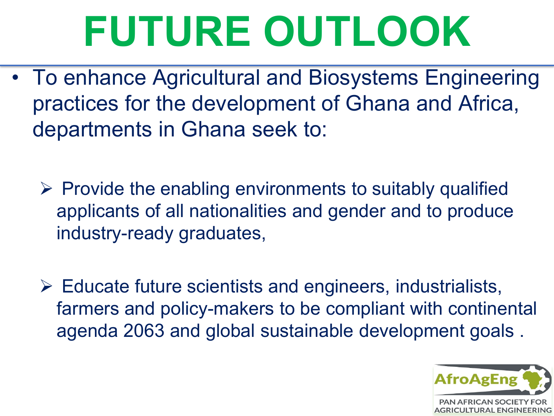# **FUTURE OUTLOOK**

- To enhance Agricultural and Biosystems Engineering practices for the development of Ghana and Africa, departments in Ghana seek to:
	- $\triangleright$  Provide the enabling environments to suitably qualified applicants of all nationalities and gender and to produce industry-ready graduates,
	- $\triangleright$  Educate future scientists and engineers, industrialists, farmers and policy-makers to be compliant with continental agenda 2063 and global sustainable development goals .